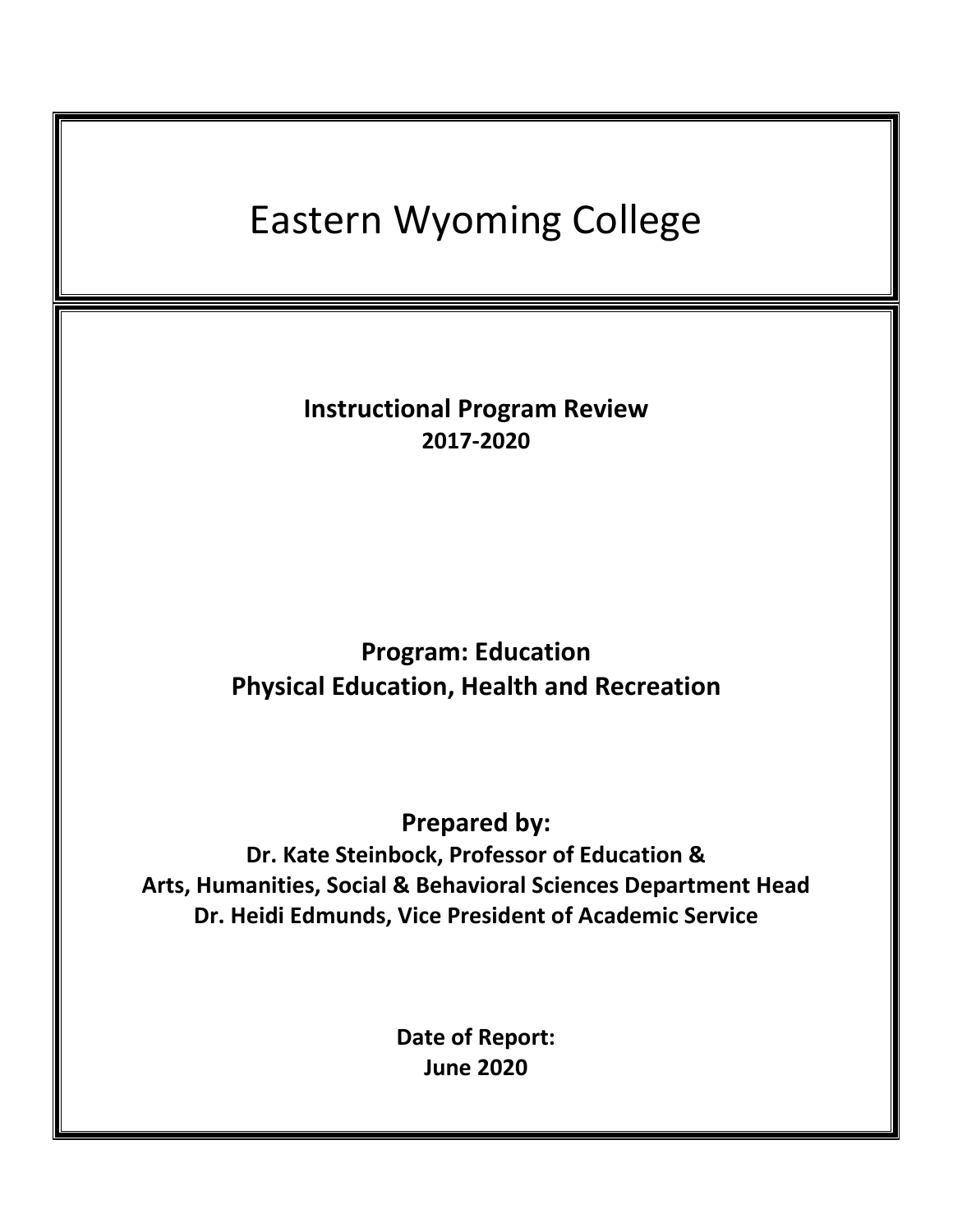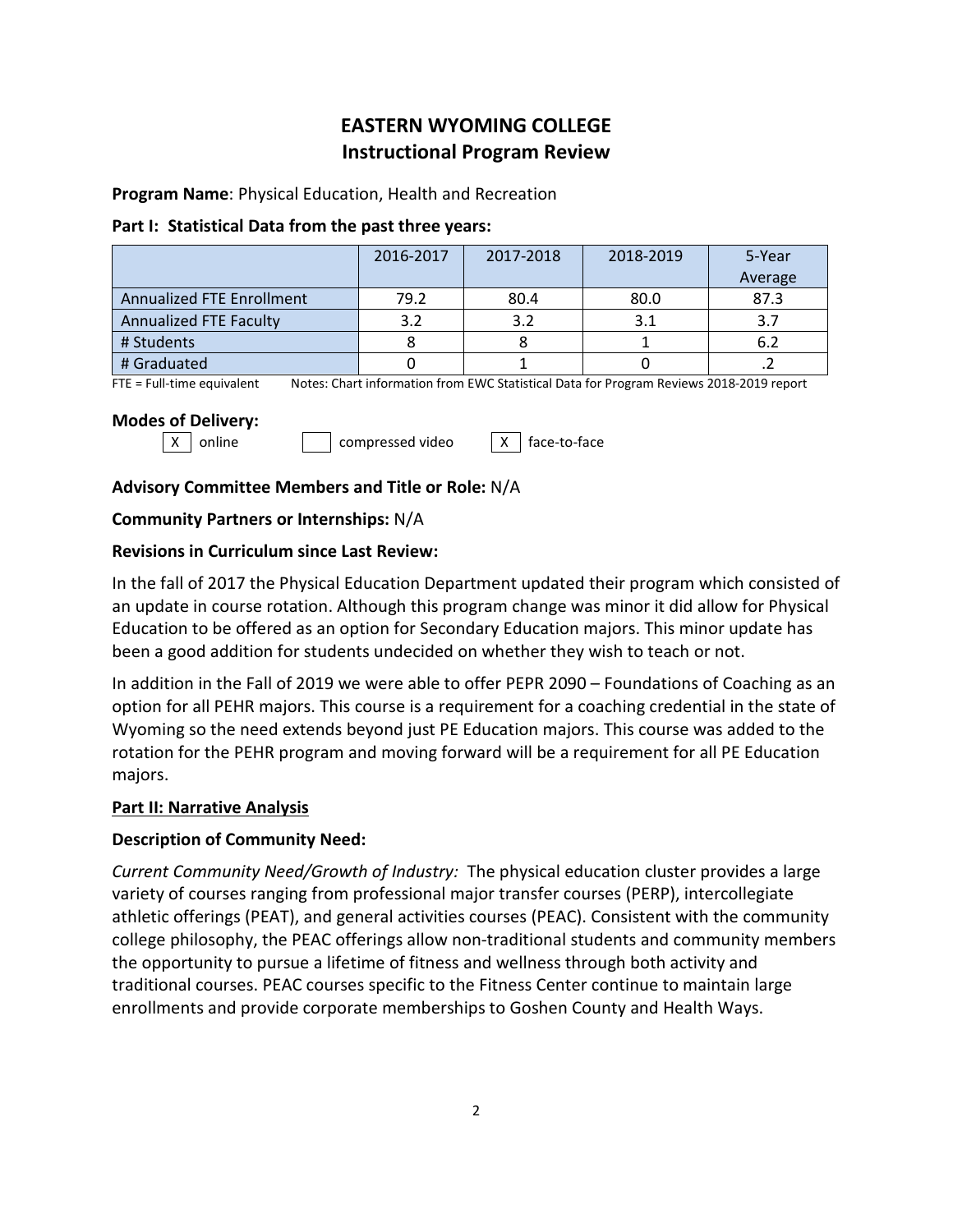# **EASTERN WYOMING COLLEGE Instructional Program Review**

**Program Name**: Physical Education, Health and Recreation

### **Part I: Statistical Data from the past three years:**

|                                  | 2016-2017 | 2017-2018 | 2018-2019 | 5-Year  |
|----------------------------------|-----------|-----------|-----------|---------|
|                                  |           |           |           | Average |
| <b>Annualized FTE Enrollment</b> | 79.2      | 80.4      | 80.0      | 87.3    |
| <b>Annualized FTE Faculty</b>    | 3.2       | 3.2       | 3.1       | 3.7     |
| # Students                       |           |           |           | 6.2     |
| # Graduated                      |           |           |           |         |

FTE = Full-time equivalent Notes: Chart information from EWC Statistical Data for Program Reviews 2018-2019 report

### **Modes of Delivery:**

 $\vert x \vert$  online  $\vert x \vert$  compressed video  $\vert x \vert$  face-to-face

## **Advisory Committee Members and Title or Role:** N/A

## **Community Partners or Internships:** N/A

## **Revisions in Curriculum since Last Review:**

In the fall of 2017 the Physical Education Department updated their program which consisted of an update in course rotation. Although this program change was minor it did allow for Physical Education to be offered as an option for Secondary Education majors. This minor update has been a good addition for students undecided on whether they wish to teach or not.

In addition in the Fall of 2019 we were able to offer PEPR 2090 – Foundations of Coaching as an option for all PEHR majors. This course is a requirement for a coaching credential in the state of Wyoming so the need extends beyond just PE Education majors. This course was added to the rotation for the PEHR program and moving forward will be a requirement for all PE Education majors.

## **Part II: Narrative Analysis**

## **Description of Community Need:**

*Current Community Need/Growth of Industry:* The physical education cluster provides a large variety of courses ranging from professional major transfer courses (PERP), intercollegiate athletic offerings (PEAT), and general activities courses (PEAC). Consistent with the community college philosophy, the PEAC offerings allow non-traditional students and community members the opportunity to pursue a lifetime of fitness and wellness through both activity and traditional courses. PEAC courses specific to the Fitness Center continue to maintain large enrollments and provide corporate memberships to Goshen County and Health Ways.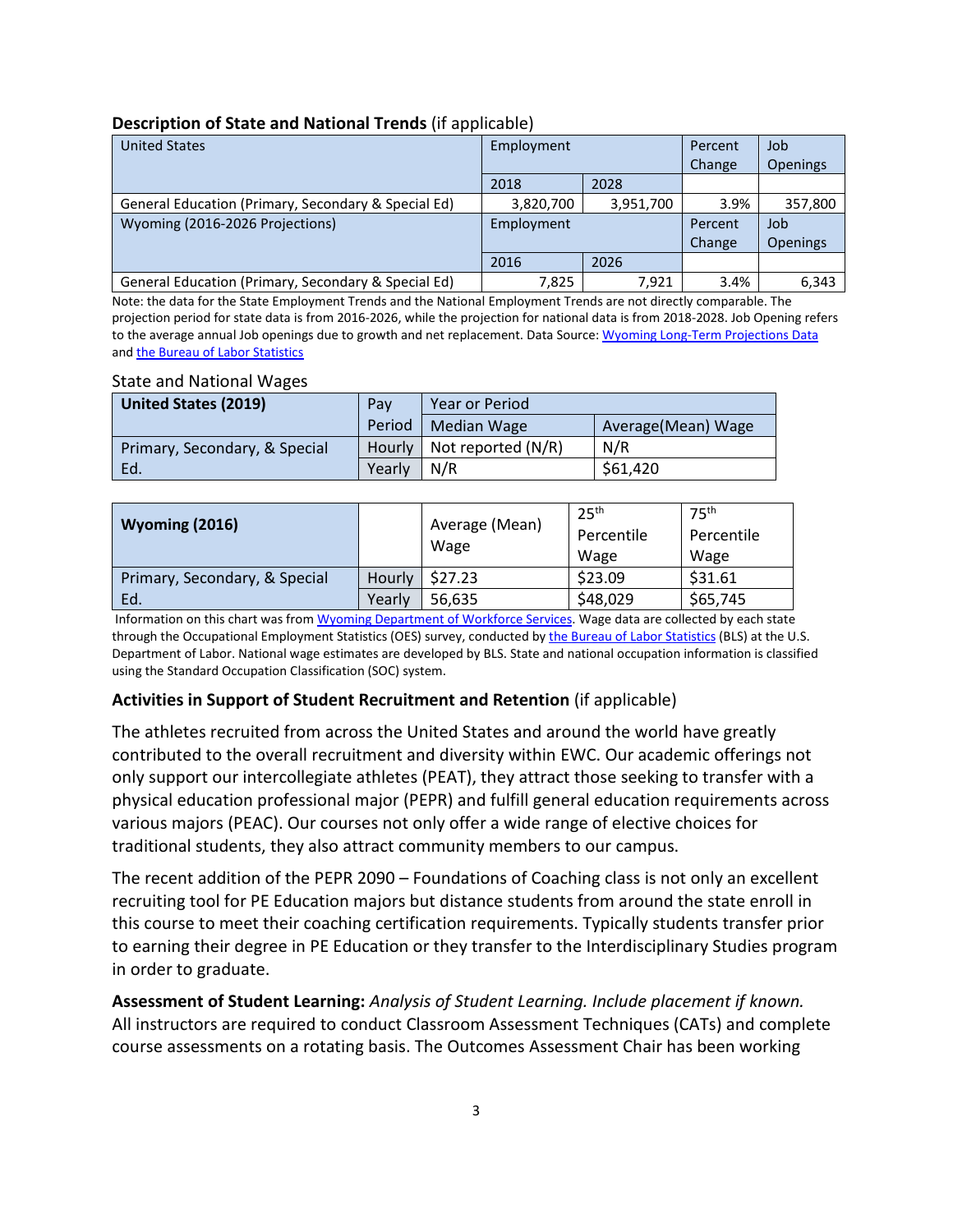### **Description of State and National Trends** (if applicable)

| <b>United States</b>                                | Employment |           | Percent | Job             |
|-----------------------------------------------------|------------|-----------|---------|-----------------|
|                                                     |            |           | Change  | <b>Openings</b> |
|                                                     | 2018       | 2028      |         |                 |
| General Education (Primary, Secondary & Special Ed) | 3,820,700  | 3,951,700 | 3.9%    | 357,800         |
| Wyoming (2016-2026 Projections)                     | Employment |           | Percent | Job             |
|                                                     |            |           | Change  | <b>Openings</b> |
|                                                     | 2016       | 2026      |         |                 |
| General Education (Primary, Secondary & Special Ed) | 7,825      | 7.921     | 3.4%    | 6,343           |

Note: the data for the State Employment Trends and the National Employment Trends are not directly comparable. The projection period for state data is from 2016-2026, while the projection for national data is from 2018-2028. Job Opening refers to the average annual Job openings due to growth and net replacement. Data Source[: Wyoming Long-Term Projections Data](https://doe.state.wy.us/lmi/projections/2018/WY_long_term_projections_2016-2026.pdf) and [the Bureau of Labor Statistics](https://www.bls.gov/emp/tables/emp-by-detailed-occupation.htm)

#### State and National Wages

| <b>United States (2019)</b>   | Pay    | Year or Period                |                     |  |
|-------------------------------|--------|-------------------------------|---------------------|--|
|                               |        | Period   Median Wage          | Average (Mean) Wage |  |
| Primary, Secondary, & Special |        | Hourly   Not reported $(N/R)$ | N/R                 |  |
| Ed.                           | Yearly | $\mid N/R$                    | \$61,420            |  |

| <b>Wyoming (2016)</b>         |        | Average (Mean)<br>Wage | 25 <sup>th</sup><br>Percentile<br>Wage | 75 <sup>th</sup><br>Percentile<br>Wage |
|-------------------------------|--------|------------------------|----------------------------------------|----------------------------------------|
| Primary, Secondary, & Special | Hourly | \$27.23                | \$23.09                                | \$31.61                                |
| Ed.                           | Yearly | 56,635                 | \$48,029                               | \$65,745                               |

Information on this chart was from [Wyoming Department of Workforce Services.](https://www.bls.gov/oes/current/oes_wy.htm#25-0000) Wage data are collected by each state through the Occupational Employment Statistics (OES) survey, conducted by [the Bureau of Labor Statistics](https://www.bls.gov/emp/tables/emp-by-detailed-occupation.htm) (BLS) at the U.S. Department of Labor. National wage estimates are developed by BLS. State and national occupation information is classified using the Standard Occupation Classification (SOC) system.

### **Activities in Support of Student Recruitment and Retention** (if applicable)

The athletes recruited from across the United States and around the world have greatly contributed to the overall recruitment and diversity within EWC. Our academic offerings not only support our intercollegiate athletes (PEAT), they attract those seeking to transfer with a physical education professional major (PEPR) and fulfill general education requirements across various majors (PEAC). Our courses not only offer a wide range of elective choices for traditional students, they also attract community members to our campus.

The recent addition of the PEPR 2090 – Foundations of Coaching class is not only an excellent recruiting tool for PE Education majors but distance students from around the state enroll in this course to meet their coaching certification requirements. Typically students transfer prior to earning their degree in PE Education or they transfer to the Interdisciplinary Studies program in order to graduate.

**Assessment of Student Learning:** *Analysis of Student Learning. Include placement if known.* All instructors are required to conduct Classroom Assessment Techniques (CATs) and complete course assessments on a rotating basis. The Outcomes Assessment Chair has been working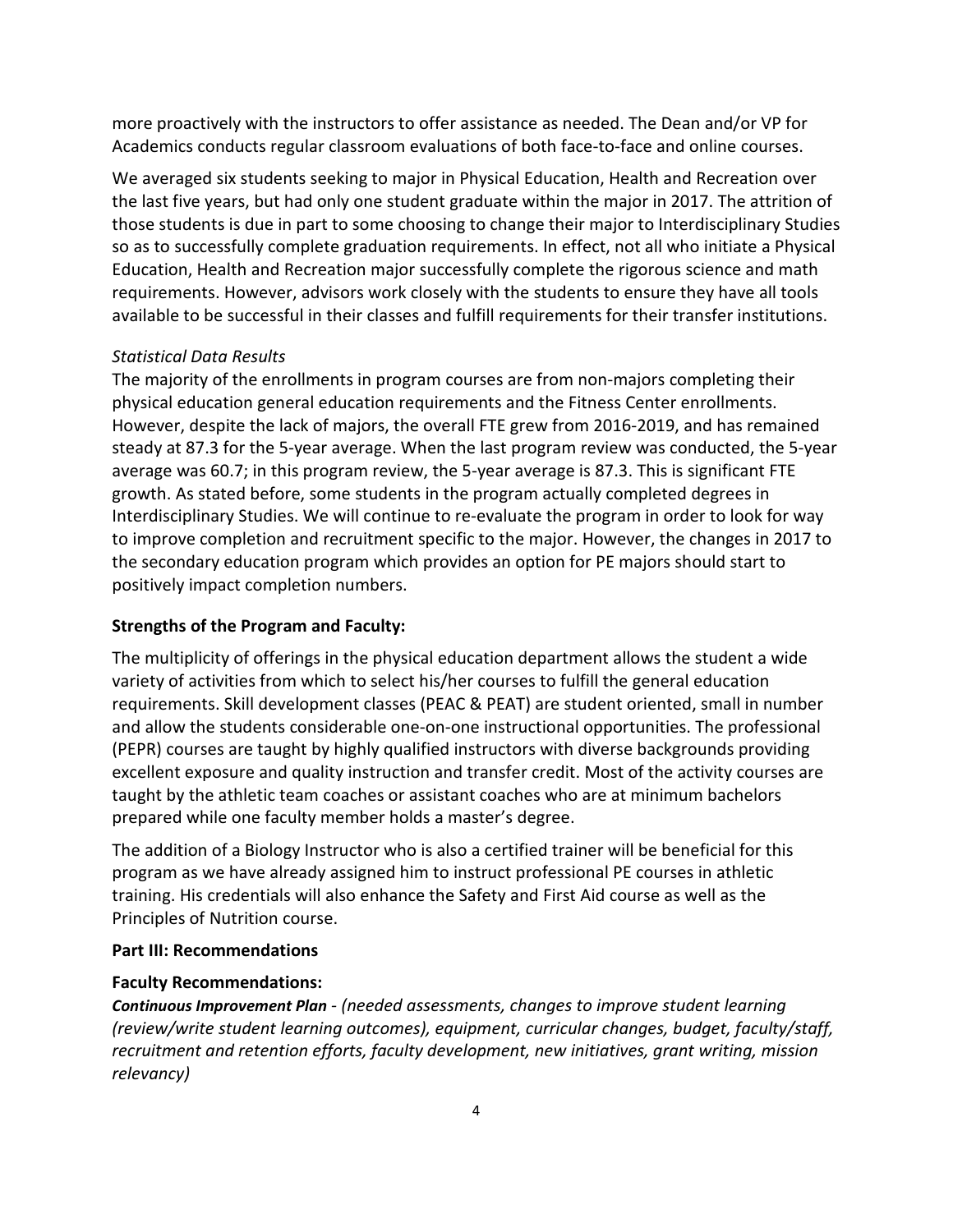more proactively with the instructors to offer assistance as needed. The Dean and/or VP for Academics conducts regular classroom evaluations of both face-to-face and online courses.

We averaged six students seeking to major in Physical Education, Health and Recreation over the last five years, but had only one student graduate within the major in 2017. The attrition of those students is due in part to some choosing to change their major to Interdisciplinary Studies so as to successfully complete graduation requirements. In effect, not all who initiate a Physical Education, Health and Recreation major successfully complete the rigorous science and math requirements. However, advisors work closely with the students to ensure they have all tools available to be successful in their classes and fulfill requirements for their transfer institutions.

### *Statistical Data Results*

The majority of the enrollments in program courses are from non-majors completing their physical education general education requirements and the Fitness Center enrollments. However, despite the lack of majors, the overall FTE grew from 2016-2019, and has remained steady at 87.3 for the 5-year average. When the last program review was conducted, the 5-year average was 60.7; in this program review, the 5-year average is 87.3. This is significant FTE growth. As stated before, some students in the program actually completed degrees in Interdisciplinary Studies. We will continue to re-evaluate the program in order to look for way to improve completion and recruitment specific to the major. However, the changes in 2017 to the secondary education program which provides an option for PE majors should start to positively impact completion numbers.

### **Strengths of the Program and Faculty:**

The multiplicity of offerings in the physical education department allows the student a wide variety of activities from which to select his/her courses to fulfill the general education requirements. Skill development classes (PEAC & PEAT) are student oriented, small in number and allow the students considerable one-on-one instructional opportunities. The professional (PEPR) courses are taught by highly qualified instructors with diverse backgrounds providing excellent exposure and quality instruction and transfer credit. Most of the activity courses are taught by the athletic team coaches or assistant coaches who are at minimum bachelors prepared while one faculty member holds a master's degree.

The addition of a Biology Instructor who is also a certified trainer will be beneficial for this program as we have already assigned him to instruct professional PE courses in athletic training. His credentials will also enhance the Safety and First Aid course as well as the Principles of Nutrition course.

### **Part III: Recommendations**

### **Faculty Recommendations:**

*Continuous Improvement Plan - (needed assessments, changes to improve student learning (review/write student learning outcomes), equipment, curricular changes, budget, faculty/staff, recruitment and retention efforts, faculty development, new initiatives, grant writing, mission relevancy)*